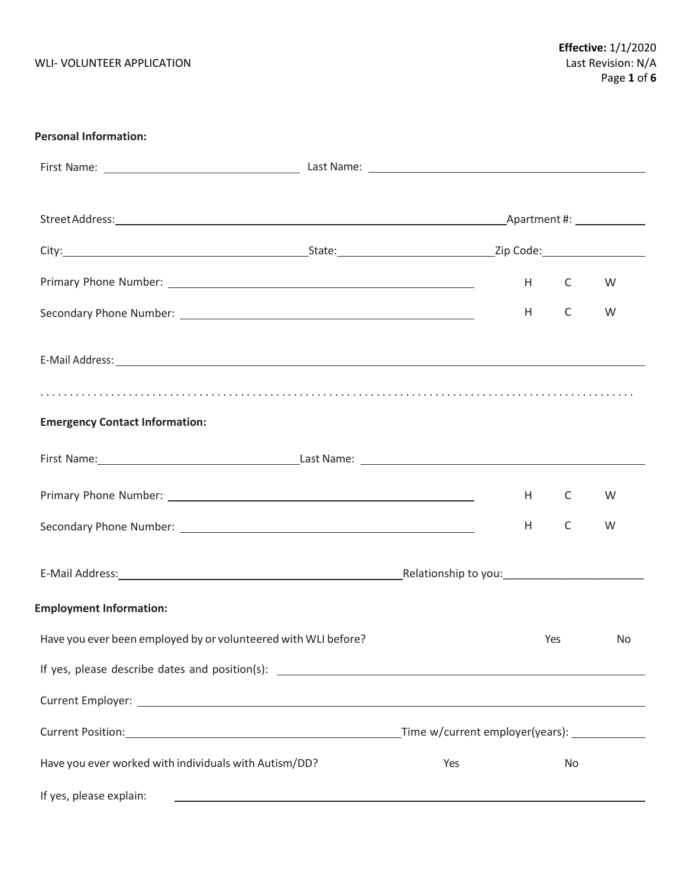| <b>Personal Information:</b>                                                                         |                                 |     |     |    |
|------------------------------------------------------------------------------------------------------|---------------------------------|-----|-----|----|
|                                                                                                      |                                 |     |     |    |
|                                                                                                      |                                 |     |     |    |
|                                                                                                      |                                 |     |     |    |
|                                                                                                      |                                 | H C |     | W  |
|                                                                                                      |                                 | H   | C   | W  |
| E-Mail Address: 1988 and 2008 and 2008 and 2008 and 2008 and 2008 and 2008 and 2008 and 2008 and 200 |                                 |     |     |    |
|                                                                                                      |                                 |     |     |    |
| <b>Emergency Contact Information:</b>                                                                |                                 |     |     |    |
|                                                                                                      |                                 |     |     |    |
|                                                                                                      |                                 | H   | C   | W  |
|                                                                                                      |                                 | H   | C   | W  |
|                                                                                                      |                                 |     |     |    |
| <b>Employment Information:</b>                                                                       |                                 |     |     |    |
| Have you ever been employed by or volunteered with WLI before?                                       |                                 |     | Yes | No |
|                                                                                                      |                                 |     |     |    |
|                                                                                                      |                                 |     |     |    |
| Current Position: National Account of the Current Position:                                          | Time w/current employer(years): |     |     |    |
| Have you ever worked with individuals with Autism/DD?                                                | Yes                             |     | No  |    |

If yes, please explain: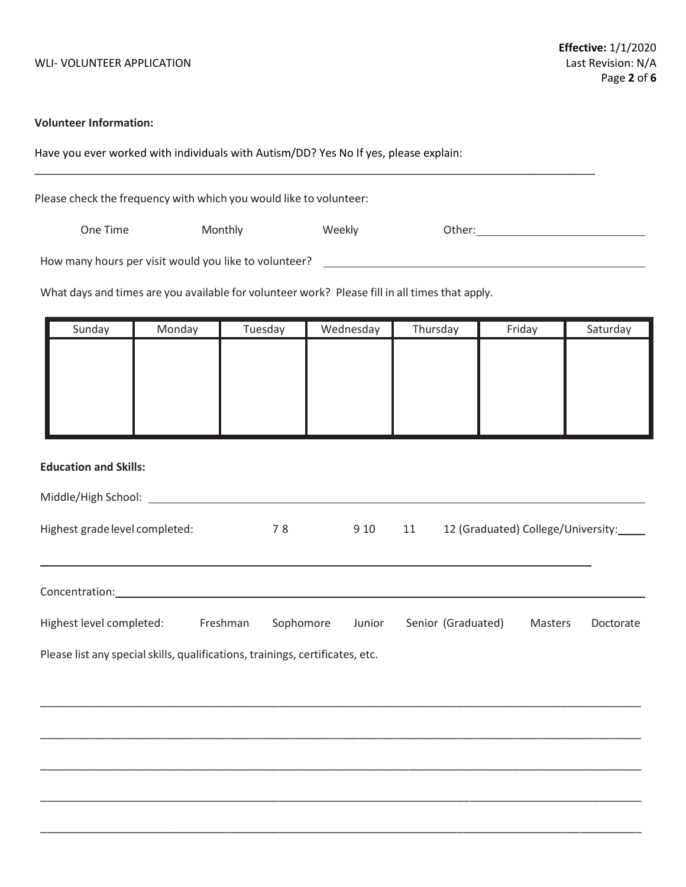### **Volunteer Information:**

Have you ever worked with individuals with Autism/DD? Yes No If yes, please explain:

**\_\_\_\_\_\_\_\_\_\_\_\_\_\_\_\_\_\_\_\_\_\_\_\_\_\_\_\_\_\_\_\_\_\_\_\_\_\_\_\_\_\_\_\_\_\_\_\_\_\_\_\_\_\_\_\_\_\_\_\_\_\_\_\_\_\_\_\_\_\_\_\_\_\_\_\_\_\_\_\_\_\_\_\_\_\_\_\_\_\_\_**

Please check the frequency with which you would like to volunteer:

One Time **Monthly Conserve Contact Conserve Conserver** Other:

How many hours per visit would you like to volunteer?

What days and times are you available for volunteer work? Please fill in all times that apply.

| Sunday | Monday | Tuesday | Wednesday | Thursday | Friday | Saturday |
|--------|--------|---------|-----------|----------|--------|----------|
|        |        |         |           |          |        |          |
|        |        |         |           |          |        |          |
|        |        |         |           |          |        |          |
|        |        |         |           |          |        |          |
|        |        |         |           |          |        |          |

## **Education and Skills:**

| Middle/High School:            |     |      |    |                                    |
|--------------------------------|-----|------|----|------------------------------------|
| Highest grade level completed: | 7 R | 9.10 | 11 | 12 (Graduated) College/University: |

| Concentration:           |          |           |        |                    |         |           |
|--------------------------|----------|-----------|--------|--------------------|---------|-----------|
| Highest level completed: | Freshman | Sophomore | Junior | Senior (Graduated) | Masters | Doctorate |

\_\_\_\_\_\_\_\_\_\_\_\_\_\_\_\_\_\_\_\_\_\_\_\_\_\_\_\_\_\_\_\_\_\_\_\_\_\_\_\_\_\_\_\_\_\_\_\_\_\_\_\_\_\_\_\_\_\_\_\_\_\_\_\_\_\_\_\_\_\_\_\_\_\_\_\_\_\_\_\_\_\_\_\_\_\_\_\_\_\_\_\_\_\_\_\_\_\_

\_\_\_\_\_\_\_\_\_\_\_\_\_\_\_\_\_\_\_\_\_\_\_\_\_\_\_\_\_\_\_\_\_\_\_\_\_\_\_\_\_\_\_\_\_\_\_\_\_\_\_\_\_\_\_\_\_\_\_\_\_\_\_\_\_\_\_\_\_\_\_\_\_\_\_\_\_\_\_\_\_\_\_\_\_\_\_\_\_\_\_\_\_\_\_\_\_\_

\_\_\_\_\_\_\_\_\_\_\_\_\_\_\_\_\_\_\_\_\_\_\_\_\_\_\_\_\_\_\_\_\_\_\_\_\_\_\_\_\_\_\_\_\_\_\_\_\_\_\_\_\_\_\_\_\_\_\_\_\_\_\_\_\_\_\_\_\_\_\_\_\_\_\_\_\_\_\_\_\_\_\_\_\_\_\_\_\_\_\_\_\_\_\_\_\_\_

\_\_\_\_\_\_\_\_\_\_\_\_\_\_\_\_\_\_\_\_\_\_\_\_\_\_\_\_\_\_\_\_\_\_\_\_\_\_\_\_\_\_\_\_\_\_\_\_\_\_\_\_\_\_\_\_\_\_\_\_\_\_\_\_\_\_\_\_\_\_\_\_\_\_\_\_\_\_\_\_\_\_\_\_\_\_\_\_\_\_\_\_\_\_\_\_\_\_

\_\_\_\_\_\_\_\_\_\_\_\_\_\_\_\_\_\_\_\_\_\_\_\_\_\_\_\_\_\_\_\_\_\_\_\_\_\_\_\_\_\_\_\_\_\_\_\_\_\_\_\_\_\_\_\_\_\_\_\_\_\_\_\_\_\_\_\_\_\_\_\_\_\_\_\_\_\_\_\_\_\_\_\_\_\_\_\_\_\_\_\_\_\_\_\_\_\_

Please list any special skills, qualifications, trainings, certificates, etc.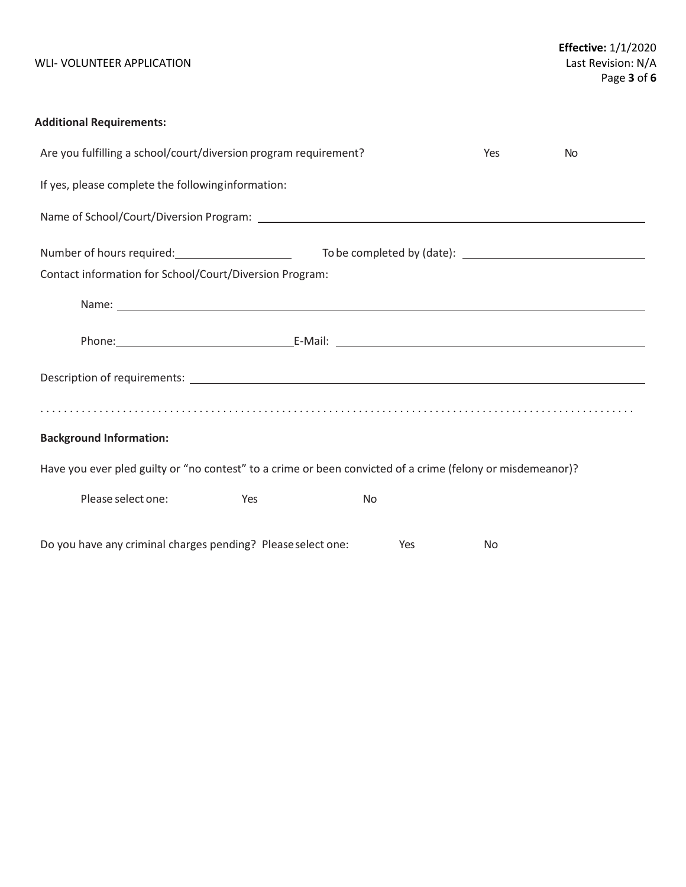## WLI- VOLUNTEER APPLICATION

# **Additional Requirements:**

| Are you fulfilling a school/court/diversion program requirement?                                           | <b>Yes</b> | <b>No</b> |  |  |  |  |  |
|------------------------------------------------------------------------------------------------------------|------------|-----------|--|--|--|--|--|
| If yes, please complete the following information:                                                         |            |           |  |  |  |  |  |
|                                                                                                            |            |           |  |  |  |  |  |
|                                                                                                            |            |           |  |  |  |  |  |
| Contact information for School/Court/Diversion Program:                                                    |            |           |  |  |  |  |  |
|                                                                                                            |            |           |  |  |  |  |  |
|                                                                                                            |            |           |  |  |  |  |  |
|                                                                                                            |            |           |  |  |  |  |  |
|                                                                                                            |            |           |  |  |  |  |  |
| <b>Background Information:</b>                                                                             |            |           |  |  |  |  |  |
| Have you ever pled guilty or "no contest" to a crime or been convicted of a crime (felony or misdemeanor)? |            |           |  |  |  |  |  |
| Please select one:<br>Yes                                                                                  | <b>No</b>  |           |  |  |  |  |  |
| Do you have any criminal charges pending? Please select one:                                               | <b>Yes</b> | <b>No</b> |  |  |  |  |  |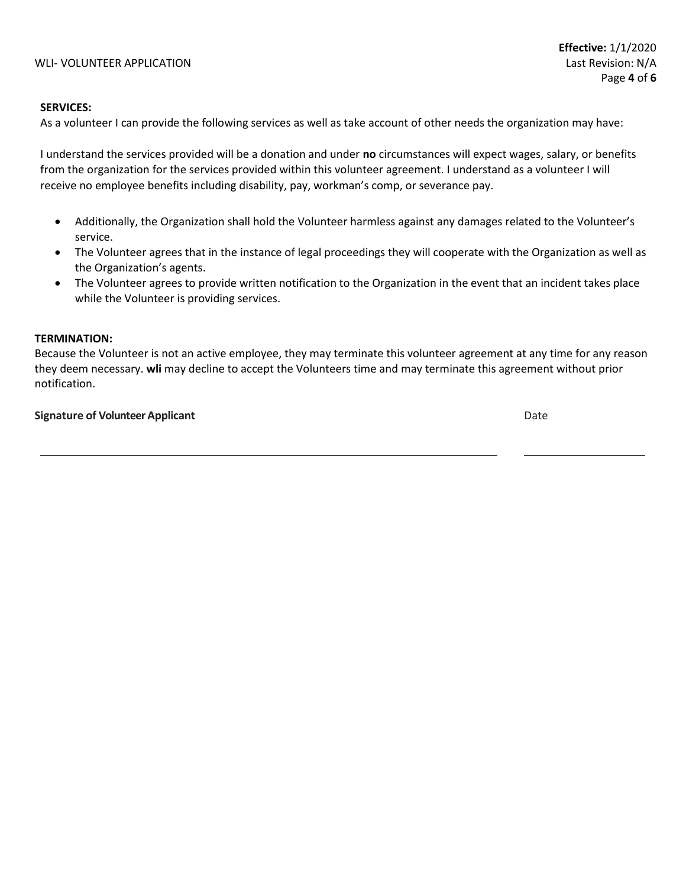#### **SERVICES:**

As a volunteer I can provide the following services as well as take account of other needs the organization may have:

I understand the services provided will be a donation and under **no** circumstances will expect wages, salary, or benefits from the organization for the services provided within this volunteer agreement. I understand as a volunteer I will receive no employee benefits including disability, pay, workman's comp, or severance pay.

- Additionally, the Organization shall hold the Volunteer harmless against any damages related to the Volunteer's service.
- The Volunteer agrees that in the instance of legal proceedings they will cooperate with the Organization as well as the Organization's agents.
- The Volunteer agrees to provide written notification to the Organization in the event that an incident takes place while the Volunteer is providing services.

### **TERMINATION:**

Because the Volunteer is not an active employee, they may terminate this volunteer agreement at any time for any reason they deem necessary. **wli** may decline to accept the Volunteers time and may terminate this agreement without prior notification.

#### **Signature of Volunteer Applicant** Date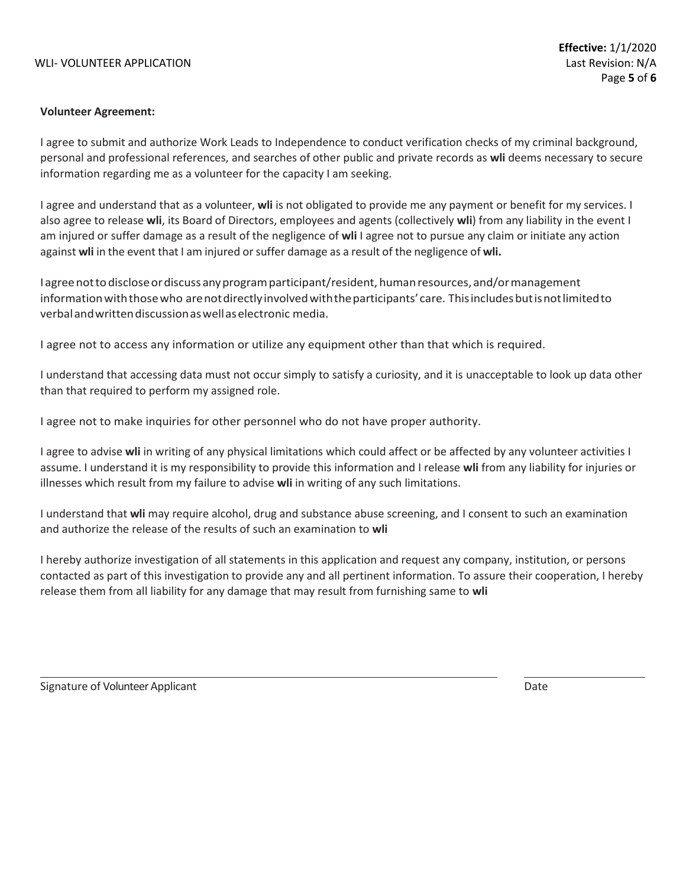#### WLI- VOLUNTEER APPLICATION LAST REVISION CONTROL AND REVISION CONTROL AND REVISION: N/A

#### **Volunteer Agreement:**

I agree to submit and authorize Work Leads to Independence to conduct verification checks of my criminal background, personal and professional references, and searches of other public and private records as **wli** deems necessary to secure information regarding me as a volunteer for the capacity I am seeking.

I agree and understand that as a volunteer, **wli** is not obligated to provide me any payment or benefit for my services. I also agree to release **wli**, its Board of Directors, employees and agents (collectively **wli**) from any liability in the event I am injured or suffer damage as a result of the negligence of **wli** I agree not to pursue any claim or initiate any action against **wli** in the event that I am injured orsuffer damage as a result of the negligence of **wli.**

Iagreenottodiscloseordiscuss anyprogramparticipant/resident,humanresources, and/ormanagement informationwiththosewho arenotdirectlyinvolvedwiththeparticipants'care. Thisincludesbutisnotlimitedto verbalandwrittendiscussionaswellaselectronic media.

I agree not to access any information or utilize any equipment other than that which is required.

I understand that accessing data must not occur simply to satisfy a curiosity, and it is unacceptable to look up data other than that required to perform my assigned role.

I agree not to make inquiries for other personnel who do not have proper authority.

I agree to advise **wli** in writing of any physical limitations which could affect or be affected by any volunteer activities I assume. I understand it is my responsibility to provide this information and I release **wli** from any liability for injuries or illnesses which result from my failure to advise **wli** in writing of any such limitations.

I understand that **wli** may require alcohol, drug and substance abuse screening, and I consent to such an examination and authorize the release of the results of such an examination to **wli**

I hereby authorize investigation of all statements in this application and request any company, institution, or persons contacted as part of this investigation to provide any and all pertinent information. To assure their cooperation, I hereby release them from all liability for any damage that may result from furnishing same to **wli**

Signature of Volunteer Applicant **Date of Science Applicant** Date of Columbus 2014 and Date Date of Date of Date of Date of Date of Date of Date of Date of Date of Date of Date of Date of Date of Date of Date of Date of Da